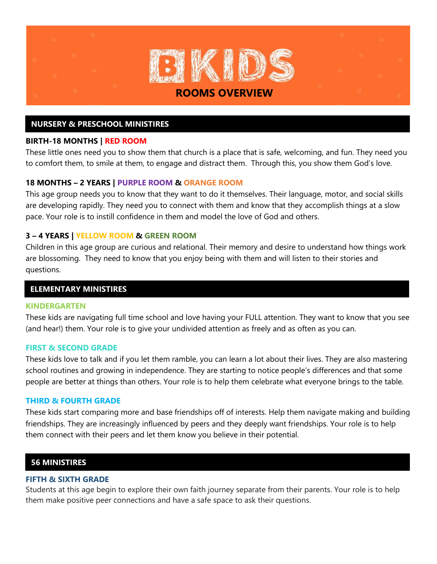

## **NURSERY & PRESCHOOL MINISTIRES**

### **BIRTH-18 MONTHS | RED ROOM**

These little ones need you to show them that church is a place that is safe, welcoming, and fun. They need you to comfort them, to smile at them, to engage and distract them. Through this, you show them God's love.

### **18 MONTHS – 2 YEARS | PURPLE ROOM & ORANGE ROOM**

This age group needs you to know that they want to do it themselves. Their language, motor, and social skills are developing rapidly. They need you to connect with them and know that they accomplish things at a slow pace. Your role is to instill confidence in them and model the love of God and others.

### **3 – 4 YEARS | YELLOW ROOM & GREEN ROOM**

Children in this age group are curious and relational. Their memory and desire to understand how things work are blossoming. They need to know that you enjoy being with them and will listen to their stories and questions.

### **ELEMENTARY MINISTIRES**

#### **KINDERGARTEN**

These kids are navigating full time school and love having your FULL attention. They want to know that you see (and hear!) them. Your role is to give your undivided attention as freely and as often as you can.

#### **FIRST & SECOND GRADE**

These kids love to talk and if you let them ramble, you can learn a lot about their lives. They are also mastering school routines and growing in independence. They are starting to notice people's differences and that some people are better at things than others. Your role is to help them celebrate what everyone brings to the table.

### **THIRD & FOURTH GRADE**

These kids start comparing more and base friendships off of interests. Help them navigate making and building friendships. They are increasingly influenced by peers and they deeply want friendships. Your role is to help them connect with their peers and let them know you believe in their potential.

### **56 MINISTIRES**

#### **FIFTH & SIXTH GRADE**

Students at this age begin to explore their own faith journey separate from their parents. Your role is to help them make positive peer connections and have a safe space to ask their questions.